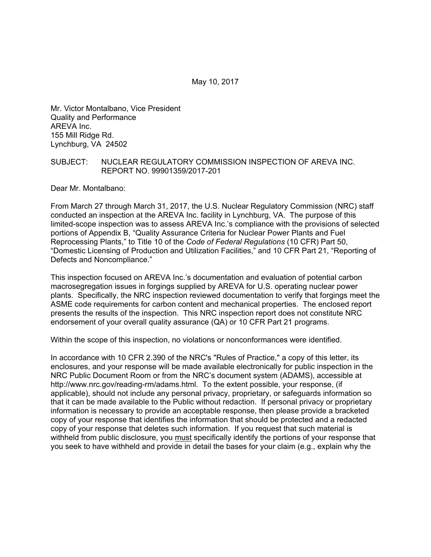Mr. Victor Montalbano, Vice President Quality and Performance AREVA Inc. 155 Mill Ridge Rd. Lynchburg, VA 24502

## SUBJECT: NUCLEAR REGULATORY COMMISSION INSPECTION OF AREVA INC. REPORT NO. 99901359/2017-201

Dear Mr. Montalbano:

From March 27 through March 31, 2017, the U.S. Nuclear Regulatory Commission (NRC) staff conducted an inspection at the AREVA Inc. facility in Lynchburg, VA. The purpose of this limited-scope inspection was to assess AREVA Inc.'s compliance with the provisions of selected portions of Appendix B, "Quality Assurance Criteria for Nuclear Power Plants and Fuel Reprocessing Plants," to Title 10 of the *Code of Federal Regulations* (10 CFR) Part 50, "Domestic Licensing of Production and Utilization Facilities," and 10 CFR Part 21, "Reporting of Defects and Noncompliance."

This inspection focused on AREVA Inc.'s documentation and evaluation of potential carbon macrosegregation issues in forgings supplied by AREVA for U.S. operating nuclear power plants. Specifically, the NRC inspection reviewed documentation to verify that forgings meet the ASME code requirements for carbon content and mechanical properties. The enclosed report presents the results of the inspection. This NRC inspection report does not constitute NRC endorsement of your overall quality assurance (QA) or 10 CFR Part 21 programs.

Within the scope of this inspection, no violations or nonconformances were identified.

In accordance with 10 CFR 2.390 of the NRC's "Rules of Practice," a copy of this letter, its enclosures, and your response will be made available electronically for public inspection in the NRC Public Document Room or from the NRC's document system (ADAMS), accessible at http://www.nrc.gov/reading-rm/adams.html. To the extent possible, your response, (if applicable), should not include any personal privacy, proprietary, or safeguards information so that it can be made available to the Public without redaction. If personal privacy or proprietary information is necessary to provide an acceptable response, then please provide a bracketed copy of your response that identifies the information that should be protected and a redacted copy of your response that deletes such information. If you request that such material is withheld from public disclosure, you must specifically identify the portions of your response that you seek to have withheld and provide in detail the bases for your claim (e.g., explain why the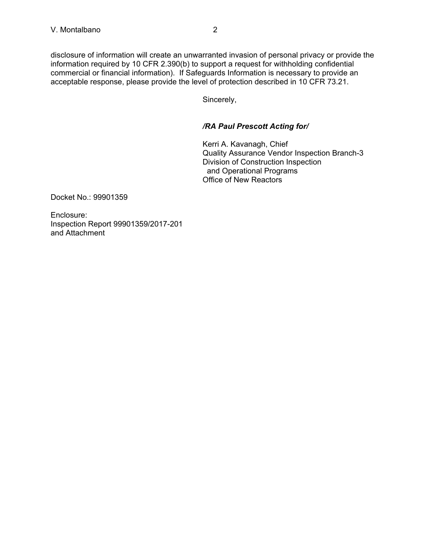disclosure of information will create an unwarranted invasion of personal privacy or provide the information required by 10 CFR 2.390(b) to support a request for withholding confidential commercial or financial information). If Safeguards Information is necessary to provide an acceptable response, please provide the level of protection described in 10 CFR 73.21.

Sincerely,

# */RA Paul Prescott Acting for/*

Kerri A. Kavanagh, Chief Quality Assurance Vendor Inspection Branch-3 Division of Construction Inspection and Operational Programs Office of New Reactors

Docket No.: 99901359

Enclosure: Inspection Report 99901359/2017-201 and Attachment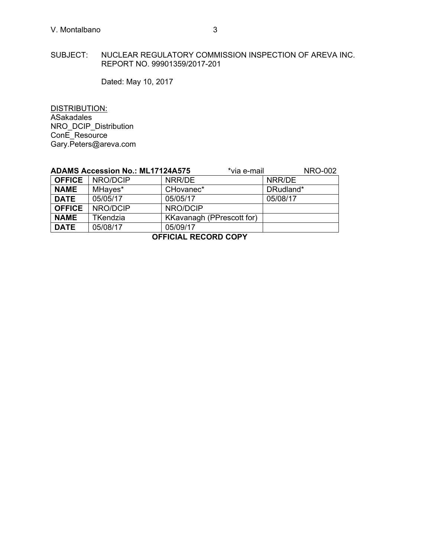# SUBJECT: NUCLEAR REGULATORY COMMISSION INSPECTION OF AREVA INC. REPORT NO. 99901359/2017-201

Dated: May 10, 2017

DISTRIBUTION: ASakadales NRO\_DCIP\_Distribution ConE\_Resource Gary.Peters@areva.com

|                      | <b>ADAMS Accession No.: ML17124A575</b> | *via e-mail               | <b>NRO-002</b> |  |  |
|----------------------|-----------------------------------------|---------------------------|----------------|--|--|
| <b>OFFICE</b>        | NRO/DCIP                                | NRR/DE                    | NRR/DE         |  |  |
| <b>NAME</b>          | MHayes*                                 | CHovanec*                 | DRudland*      |  |  |
| <b>DATE</b>          | 05/05/17                                | 05/05/17                  | 05/08/17       |  |  |
| <b>OFFICE</b>        | NRO/DCIP                                | NRO/DCIP                  |                |  |  |
| <b>NAME</b>          | <b>TKendzia</b>                         | KKavanagh (PPrescott for) |                |  |  |
| <b>DATE</b>          | 05/08/17                                | 05/09/17                  |                |  |  |
| OCCIOIAL DECODD CODV |                                         |                           |                |  |  |

**OFFICIAL RECORD COPY**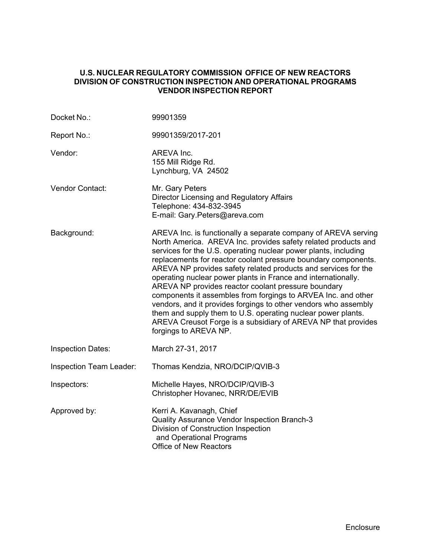# **U.S. NUCLEAR REGULATORY COMMISSION OFFICE OF NEW REACTORS DIVISION OF CONSTRUCTION INSPECTION AND OPERATIONAL PROGRAMS VENDOR INSPECTION REPORT**

| Docket No.:              | 99901359                                                                                                                                                                                                                                                                                                                                                                                                                                                                                                                                                                                                                                                                                                                                                      |
|--------------------------|---------------------------------------------------------------------------------------------------------------------------------------------------------------------------------------------------------------------------------------------------------------------------------------------------------------------------------------------------------------------------------------------------------------------------------------------------------------------------------------------------------------------------------------------------------------------------------------------------------------------------------------------------------------------------------------------------------------------------------------------------------------|
| Report No.:              | 99901359/2017-201                                                                                                                                                                                                                                                                                                                                                                                                                                                                                                                                                                                                                                                                                                                                             |
| Vendor:                  | AREVA Inc.<br>155 Mill Ridge Rd.<br>Lynchburg, VA 24502                                                                                                                                                                                                                                                                                                                                                                                                                                                                                                                                                                                                                                                                                                       |
| Vendor Contact:          | Mr. Gary Peters<br>Director Licensing and Regulatory Affairs<br>Telephone: 434-832-3945<br>E-mail: Gary.Peters@areva.com                                                                                                                                                                                                                                                                                                                                                                                                                                                                                                                                                                                                                                      |
| Background:              | AREVA Inc. is functionally a separate company of AREVA serving<br>North America. AREVA Inc. provides safety related products and<br>services for the U.S. operating nuclear power plants, including<br>replacements for reactor coolant pressure boundary components.<br>AREVA NP provides safety related products and services for the<br>operating nuclear power plants in France and internationally.<br>AREVA NP provides reactor coolant pressure boundary<br>components it assembles from forgings to ARVEA Inc. and other<br>vendors, and it provides forgings to other vendors who assembly<br>them and supply them to U.S. operating nuclear power plants.<br>AREVA Creusot Forge is a subsidiary of AREVA NP that provides<br>forgings to AREVA NP. |
| <b>Inspection Dates:</b> | March 27-31, 2017                                                                                                                                                                                                                                                                                                                                                                                                                                                                                                                                                                                                                                                                                                                                             |
| Inspection Team Leader:  | Thomas Kendzia, NRO/DCIP/QVIB-3                                                                                                                                                                                                                                                                                                                                                                                                                                                                                                                                                                                                                                                                                                                               |
| Inspectors:              | Michelle Hayes, NRO/DCIP/QVIB-3<br>Christopher Hovanec, NRR/DE/EVIB                                                                                                                                                                                                                                                                                                                                                                                                                                                                                                                                                                                                                                                                                           |
| Approved by:             | Kerri A. Kavanagh, Chief<br>Quality Assurance Vendor Inspection Branch-3<br>Division of Construction Inspection<br>and Operational Programs<br>Office of New Reactors                                                                                                                                                                                                                                                                                                                                                                                                                                                                                                                                                                                         |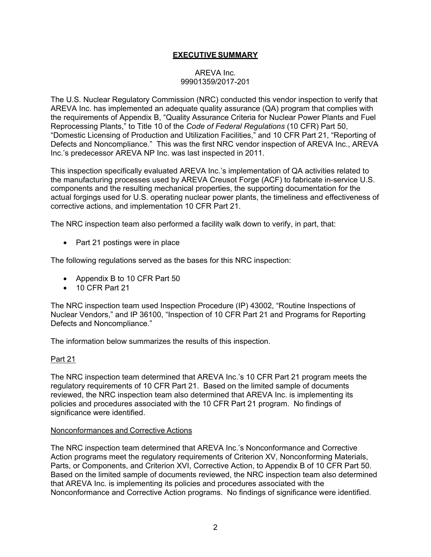# **EXECUTIVE SUMMARY**

## AREVA Inc. 99901359/2017-201

The U.S. Nuclear Regulatory Commission (NRC) conducted this vendor inspection to verify that AREVA Inc. has implemented an adequate quality assurance (QA) program that complies with the requirements of Appendix B, "Quality Assurance Criteria for Nuclear Power Plants and Fuel Reprocessing Plants," to Title 10 of the *Code of Federal Regulations* (10 CFR) Part 50, "Domestic Licensing of Production and Utilization Facilities," and 10 CFR Part 21, "Reporting of Defects and Noncompliance." This was the first NRC vendor inspection of AREVA Inc., AREVA Inc.'s predecessor AREVA NP Inc. was last inspected in 2011.

This inspection specifically evaluated AREVA Inc.'s implementation of QA activities related to the manufacturing processes used by AREVA Creusot Forge (ACF) to fabricate in-service U.S. components and the resulting mechanical properties, the supporting documentation for the actual forgings used for U.S. operating nuclear power plants, the timeliness and effectiveness of corrective actions, and implementation 10 CFR Part 21.

The NRC inspection team also performed a facility walk down to verify, in part, that:

• Part 21 postings were in place

The following regulations served as the bases for this NRC inspection:

- Appendix B to 10 CFR Part 50
- 10 CFR Part 21

The NRC inspection team used Inspection Procedure (IP) 43002, "Routine Inspections of Nuclear Vendors," and IP 36100, "Inspection of 10 CFR Part 21 and Programs for Reporting Defects and Noncompliance."

The information below summarizes the results of this inspection.

## Part 21

The NRC inspection team determined that AREVA Inc.'s 10 CFR Part 21 program meets the regulatory requirements of 10 CFR Part 21. Based on the limited sample of documents reviewed, the NRC inspection team also determined that AREVA Inc. is implementing its policies and procedures associated with the 10 CFR Part 21 program. No findings of significance were identified.

## Nonconformances and Corrective Actions

The NRC inspection team determined that AREVA Inc.'s Nonconformance and Corrective Action programs meet the regulatory requirements of Criterion XV, Nonconforming Materials, Parts, or Components, and Criterion XVI, Corrective Action, to Appendix B of 10 CFR Part 50. Based on the limited sample of documents reviewed, the NRC inspection team also determined that AREVA Inc. is implementing its policies and procedures associated with the Nonconformance and Corrective Action programs. No findings of significance were identified.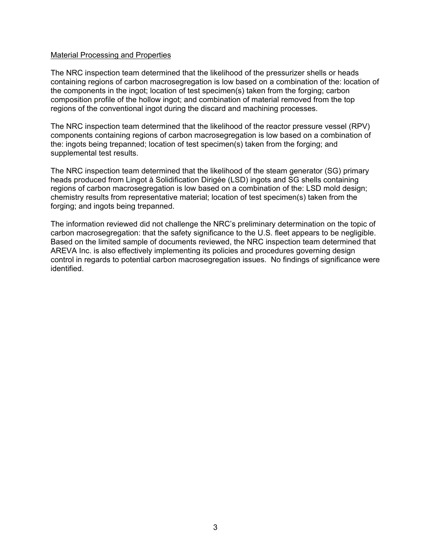## Material Processing and Properties

The NRC inspection team determined that the likelihood of the pressurizer shells or heads containing regions of carbon macrosegregation is low based on a combination of the: location of the components in the ingot; location of test specimen(s) taken from the forging; carbon composition profile of the hollow ingot; and combination of material removed from the top regions of the conventional ingot during the discard and machining processes.

The NRC inspection team determined that the likelihood of the reactor pressure vessel (RPV) components containing regions of carbon macrosegregation is low based on a combination of the: ingots being trepanned; location of test specimen(s) taken from the forging; and supplemental test results.

The NRC inspection team determined that the likelihood of the steam generator (SG) primary heads produced from Lingot à Solidification Dirigée (LSD) ingots and SG shells containing regions of carbon macrosegregation is low based on a combination of the: LSD mold design; chemistry results from representative material; location of test specimen(s) taken from the forging; and ingots being trepanned.

The information reviewed did not challenge the NRC's preliminary determination on the topic of carbon macrosegregation: that the safety significance to the U.S. fleet appears to be negligible. Based on the limited sample of documents reviewed, the NRC inspection team determined that AREVA Inc. is also effectively implementing its policies and procedures governing design control in regards to potential carbon macrosegregation issues. No findings of significance were identified.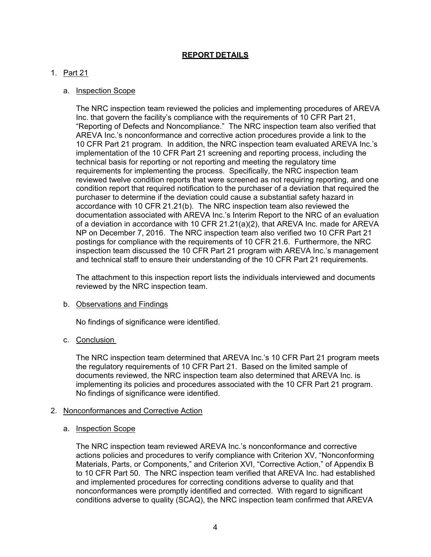# **REPORT DETAILS**

# 1. Part 21

## a. Inspection Scope

The NRC inspection team reviewed the policies and implementing procedures of AREVA Inc. that govern the facility's compliance with the requirements of 10 CFR Part 21, "Reporting of Defects and Noncompliance." The NRC inspection team also verified that AREVA Inc.'s nonconformance and corrective action procedures provide a link to the 10 CFR Part 21 program. In addition, the NRC inspection team evaluated AREVA Inc.'s implementation of the 10 CFR Part 21 screening and reporting process, including the technical basis for reporting or not reporting and meeting the regulatory time requirements for implementing the process. Specifically, the NRC inspection team reviewed twelve condition reports that were screened as not requiring reporting, and one condition report that required notification to the purchaser of a deviation that required the purchaser to determine if the deviation could cause a substantial safety hazard in accordance with 10 CFR 21.21(b). The NRC inspection team also reviewed the documentation associated with AREVA Inc.'s Interim Report to the NRC of an evaluation of a deviation in accordance with 10 CFR 21.21(a)(2), that AREVA Inc. made for AREVA NP on December 7, 2016. The NRC inspection team also verified two 10 CFR Part 21 postings for compliance with the requirements of 10 CFR 21.6. Furthermore, the NRC inspection team discussed the 10 CFR Part 21 program with AREVA Inc.'s management and technical staff to ensure their understanding of the 10 CFR Part 21 requirements.

The attachment to this inspection report lists the individuals interviewed and documents reviewed by the NRC inspection team.

## b. Observations and Findings

No findings of significance were identified.

## c. Conclusion

The NRC inspection team determined that AREVA Inc.'s 10 CFR Part 21 program meets the regulatory requirements of 10 CFR Part 21. Based on the limited sample of documents reviewed, the NRC inspection team also determined that AREVA Inc. is implementing its policies and procedures associated with the 10 CFR Part 21 program. No findings of significance were identified.

## 2. Nonconformances and Corrective Action

## a. Inspection Scope

The NRC inspection team reviewed AREVA Inc.'s nonconformance and corrective actions policies and procedures to verify compliance with Criterion XV, "Nonconforming Materials, Parts, or Components," and Criterion XVI, "Corrective Action," of Appendix B to 10 CFR Part 50. The NRC inspection team verified that AREVA Inc. had established and implemented procedures for correcting conditions adverse to quality and that nonconformances were promptly identified and corrected. With regard to significant conditions adverse to quality (SCAQ), the NRC inspection team confirmed that AREVA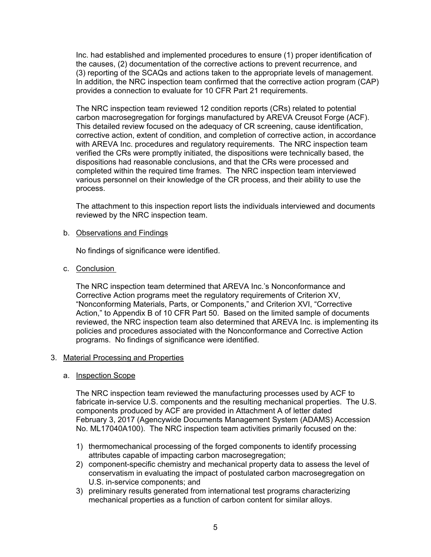Inc. had established and implemented procedures to ensure (1) proper identification of the causes, (2) documentation of the corrective actions to prevent recurrence, and (3) reporting of the SCAQs and actions taken to the appropriate levels of management. In addition, the NRC inspection team confirmed that the corrective action program (CAP) provides a connection to evaluate for 10 CFR Part 21 requirements.

The NRC inspection team reviewed 12 condition reports (CRs) related to potential carbon macrosegregation for forgings manufactured by AREVA Creusot Forge (ACF). This detailed review focused on the adequacy of CR screening, cause identification, corrective action, extent of condition, and completion of corrective action, in accordance with AREVA Inc. procedures and regulatory requirements. The NRC inspection team verified the CRs were promptly initiated, the dispositions were technically based, the dispositions had reasonable conclusions, and that the CRs were processed and completed within the required time frames. The NRC inspection team interviewed various personnel on their knowledge of the CR process, and their ability to use the process.

The attachment to this inspection report lists the individuals interviewed and documents reviewed by the NRC inspection team.

## b. Observations and Findings

No findings of significance were identified.

c. Conclusion

The NRC inspection team determined that AREVA Inc.'s Nonconformance and Corrective Action programs meet the regulatory requirements of Criterion XV, "Nonconforming Materials, Parts, or Components," and Criterion XVI, "Corrective Action," to Appendix B of 10 CFR Part 50. Based on the limited sample of documents reviewed, the NRC inspection team also determined that AREVA Inc. is implementing its policies and procedures associated with the Nonconformance and Corrective Action programs. No findings of significance were identified.

# 3. Material Processing and Properties

## a. Inspection Scope

The NRC inspection team reviewed the manufacturing processes used by ACF to fabricate in-service U.S. components and the resulting mechanical properties. The U.S. components produced by ACF are provided in Attachment A of letter dated February 3, 2017 (Agencywide Documents Management System (ADAMS) Accession No. ML17040A100). The NRC inspection team activities primarily focused on the:

- 1) thermomechanical processing of the forged components to identify processing attributes capable of impacting carbon macrosegregation;
- 2) component-specific chemistry and mechanical property data to assess the level of conservatism in evaluating the impact of postulated carbon macrosegregation on U.S. in-service components; and
- 3) preliminary results generated from international test programs characterizing mechanical properties as a function of carbon content for similar alloys.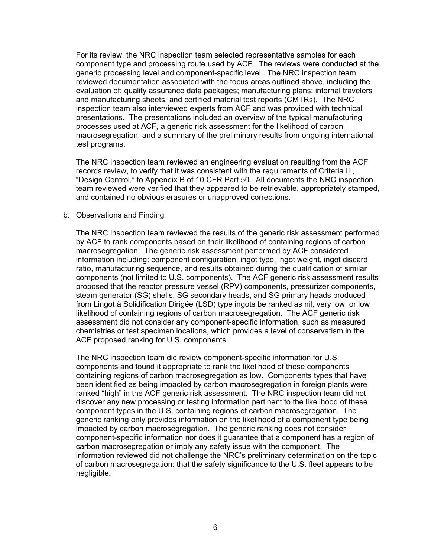For its review, the NRC inspection team selected representative samples for each component type and processing route used by ACF. The reviews were conducted at the generic processing level and component-specific level. The NRC inspection team reviewed documentation associated with the focus areas outlined above, including the evaluation of: quality assurance data packages; manufacturing plans; internal travelers and manufacturing sheets, and certified material test reports (CMTRs). The NRC inspection team also interviewed experts from ACF and was provided with technical presentations. The presentations included an overview of the typical manufacturing processes used at ACF, a generic risk assessment for the likelihood of carbon macrosegregation, and a summary of the preliminary results from ongoing international test programs.

The NRC inspection team reviewed an engineering evaluation resulting from the ACF records review, to verify that it was consistent with the requirements of Criteria III, "Design Control," to Appendix B of 10 CFR Part 50. All documents the NRC inspection team reviewed were verified that they appeared to be retrievable, appropriately stamped, and contained no obvious erasures or unapproved corrections.

## b. Observations and Finding

The NRC inspection team reviewed the results of the generic risk assessment performed by ACF to rank components based on their likelihood of containing regions of carbon macrosegregation. The generic risk assessment performed by ACF considered information including: component configuration, ingot type, ingot weight, ingot discard ratio, manufacturing sequence, and results obtained during the qualification of similar components (not limited to U.S. components). The ACF generic risk assessment results proposed that the reactor pressure vessel (RPV) components, pressurizer components, steam generator (SG) shells, SG secondary heads, and SG primary heads produced from Lingot à Solidification Dirigée (LSD) type ingots be ranked as nil, very low, or low likelihood of containing regions of carbon macrosegregation. The ACF generic risk assessment did not consider any component-specific information, such as measured chemistries or test specimen locations, which provides a level of conservatism in the ACF proposed ranking for U.S. components.

The NRC inspection team did review component-specific information for U.S. components and found it appropriate to rank the likelihood of these components containing regions of carbon macrosegregation as low. Components types that have been identified as being impacted by carbon macrosegregation in foreign plants were ranked "high" in the ACF generic risk assessment. The NRC inspection team did not discover any new processing or testing information pertinent to the likelihood of these component types in the U.S. containing regions of carbon macrosegregation. The generic ranking only provides information on the likelihood of a component type being impacted by carbon macrosegregation. The generic ranking does not consider component-specific information nor does it guarantee that a component has a region of carbon macrosegregation or imply any safety issue with the component. The information reviewed did not challenge the NRC's preliminary determination on the topic of carbon macrosegregation: that the safety significance to the U.S. fleet appears to be negligible.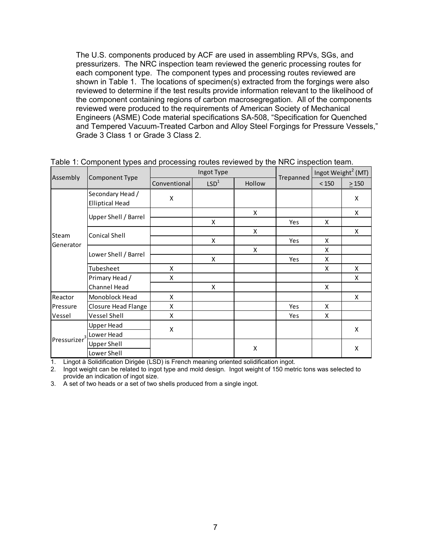The U.S. components produced by ACF are used in assembling RPVs, SGs, and pressurizers. The NRC inspection team reviewed the generic processing routes for each component type. The component types and processing routes reviewed are shown in Table 1. The locations of specimen(s) extracted from the forgings were also reviewed to determine if the test results provide information relevant to the likelihood of the component containing regions of carbon macrosegregation. All of the components reviewed were produced to the requirements of American Society of Mechanical Engineers (ASME) Code material specifications SA-508, "Specification for Quenched and Tempered Vacuum-Treated Carbon and Alloy Steel Forgings for Pressure Vessels," Grade 3 Class 1 or Grade 3 Class 2.

|                          | Component Type                             | Ingot Type   |                  |        |            | Ingot Weight <sup>2</sup> (MT) |            |
|--------------------------|--------------------------------------------|--------------|------------------|--------|------------|--------------------------------|------------|
| Assembly                 |                                            | Conventional | LSD <sup>1</sup> | Hollow | Trepanned  | $<150$                         | $\geq 150$ |
|                          | Secondary Head /<br><b>Elliptical Head</b> | Χ            |                  |        |            |                                | X          |
|                          | Upper Shell / Barrel                       |              |                  | X      |            |                                | X          |
| Steam                    |                                            |              | X                |        | <b>Yes</b> | X                              |            |
|                          | <b>Conical Shell</b>                       |              |                  | X      |            |                                | X          |
| Generator                |                                            |              | X                |        | <b>Yes</b> | X                              |            |
|                          | Lower Shell / Barrel                       |              |                  | X      |            | X                              |            |
|                          |                                            |              | X                |        | Yes        | X                              |            |
|                          | Tubesheet                                  | X            |                  |        |            | X                              | X          |
|                          | Primary Head /                             | X            |                  |        |            |                                | X          |
|                          | Channel Head                               |              | X                |        |            | X                              |            |
| Reactor                  | Monoblock Head                             | X            |                  |        |            |                                | X          |
| Pressure                 | Closure Head Flange                        | X            |                  |        | <b>Yes</b> | X                              |            |
| Vessel                   | Vessel Shell                               | X            |                  |        | Yes        | X                              |            |
| Pressurizer <sup>3</sup> | <b>Upper Head</b>                          |              |                  |        |            |                                | X          |
|                          | Lower Head                                 | Χ            |                  |        |            |                                |            |
|                          | <b>Upper Shell</b>                         |              |                  |        |            |                                |            |
|                          | Lower Shell                                |              |                  | X      |            |                                | X          |

|  |  | Table 1: Component types and processing routes reviewed by the NRC inspection team. |
|--|--|-------------------------------------------------------------------------------------|
|  |  |                                                                                     |

1. Lingot à Solidification Dirigée (LSD) is French meaning oriented solidification ingot.

2. Ingot weight can be related to ingot type and mold design. Ingot weight of 150 metric tons was selected to provide an indication of ingot size.

3. A set of two heads or a set of two shells produced from a single ingot.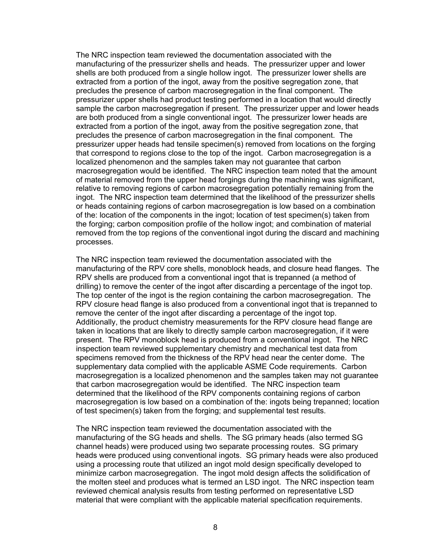The NRC inspection team reviewed the documentation associated with the manufacturing of the pressurizer shells and heads. The pressurizer upper and lower shells are both produced from a single hollow ingot. The pressurizer lower shells are extracted from a portion of the ingot, away from the positive segregation zone, that precludes the presence of carbon macrosegregation in the final component. The pressurizer upper shells had product testing performed in a location that would directly sample the carbon macrosegregation if present. The pressurizer upper and lower heads are both produced from a single conventional ingot. The pressurizer lower heads are extracted from a portion of the ingot, away from the positive segregation zone, that precludes the presence of carbon macrosegregation in the final component. The pressurizer upper heads had tensile specimen(s) removed from locations on the forging that correspond to regions close to the top of the ingot. Carbon macrosegregation is a localized phenomenon and the samples taken may not guarantee that carbon macrosegregation would be identified. The NRC inspection team noted that the amount of material removed from the upper head forgings during the machining was significant, relative to removing regions of carbon macrosegregation potentially remaining from the ingot. The NRC inspection team determined that the likelihood of the pressurizer shells or heads containing regions of carbon macrosegregation is low based on a combination of the: location of the components in the ingot; location of test specimen(s) taken from the forging; carbon composition profile of the hollow ingot; and combination of material removed from the top regions of the conventional ingot during the discard and machining processes.

The NRC inspection team reviewed the documentation associated with the manufacturing of the RPV core shells, monoblock heads, and closure head flanges. The RPV shells are produced from a conventional ingot that is trepanned (a method of drilling) to remove the center of the ingot after discarding a percentage of the ingot top. The top center of the ingot is the region containing the carbon macrosegregation. The RPV closure head flange is also produced from a conventional ingot that is trepanned to remove the center of the ingot after discarding a percentage of the ingot top. Additionally, the product chemistry measurements for the RPV closure head flange are taken in locations that are likely to directly sample carbon macrosegregation, if it were present. The RPV monoblock head is produced from a conventional ingot. The NRC inspection team reviewed supplementary chemistry and mechanical test data from specimens removed from the thickness of the RPV head near the center dome. The supplementary data complied with the applicable ASME Code requirements. Carbon macrosegregation is a localized phenomenon and the samples taken may not guarantee that carbon macrosegregation would be identified. The NRC inspection team determined that the likelihood of the RPV components containing regions of carbon macrosegregation is low based on a combination of the: ingots being trepanned; location of test specimen(s) taken from the forging; and supplemental test results.

The NRC inspection team reviewed the documentation associated with the manufacturing of the SG heads and shells. The SG primary heads (also termed SG channel heads) were produced using two separate processing routes. SG primary heads were produced using conventional ingots. SG primary heads were also produced using a processing route that utilized an ingot mold design specifically developed to minimize carbon macrosegregation. The ingot mold design affects the solidification of the molten steel and produces what is termed an LSD ingot. The NRC inspection team reviewed chemical analysis results from testing performed on representative LSD material that were compliant with the applicable material specification requirements.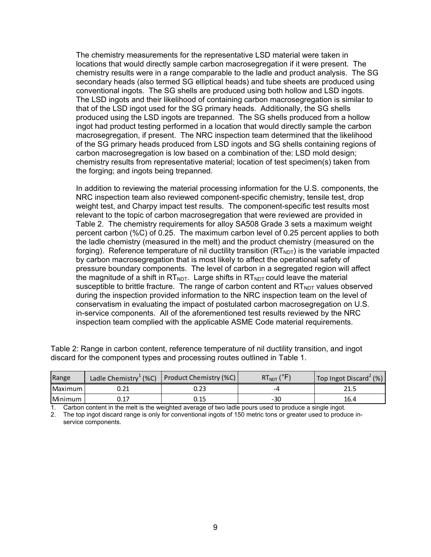The chemistry measurements for the representative LSD material were taken in locations that would directly sample carbon macrosegregation if it were present. The chemistry results were in a range comparable to the ladle and product analysis. The SG secondary heads (also termed SG elliptical heads) and tube sheets are produced using conventional ingots. The SG shells are produced using both hollow and LSD ingots. The LSD ingots and their likelihood of containing carbon macrosegregation is similar to that of the LSD ingot used for the SG primary heads. Additionally, the SG shells produced using the LSD ingots are trepanned. The SG shells produced from a hollow ingot had product testing performed in a location that would directly sample the carbon macrosegregation, if present. The NRC inspection team determined that the likelihood of the SG primary heads produced from LSD ingots and SG shells containing regions of carbon macrosegregation is low based on a combination of the: LSD mold design; chemistry results from representative material; location of test specimen(s) taken from the forging; and ingots being trepanned.

In addition to reviewing the material processing information for the U.S. components, the NRC inspection team also reviewed component-specific chemistry, tensile test, drop weight test, and Charpy impact test results. The component-specific test results most relevant to the topic of carbon macrosegregation that were reviewed are provided in Table 2. The chemistry requirements for alloy SA508 Grade 3 sets a maximum weight percent carbon (%C) of 0.25. The maximum carbon level of 0.25 percent applies to both the ladle chemistry (measured in the melt) and the product chemistry (measured on the forging). Reference temperature of nil ductility transition  $(RT<sub>NOT</sub>)$  is the variable impacted by carbon macrosegregation that is most likely to affect the operational safety of pressure boundary components. The level of carbon in a segregated region will affect the magnitude of a shift in  $RT<sub>NDT</sub>$ . Large shifts in  $RT<sub>NDT</sub>$  could leave the material susceptible to brittle fracture. The range of carbon content and  $RT_{NDT}$  values observed during the inspection provided information to the NRC inspection team on the level of conservatism in evaluating the impact of postulated carbon macrosegregation on U.S. in-service components. All of the aforementioned test results reviewed by the NRC inspection team complied with the applicable ASME Code material requirements.

| Range   |      | Ladle Chemistry <sup>1</sup> (%C) Product Chemistry (%C) \ | KI <sub>NDT</sub> ( | $\mathsf{Top}$ Ingot Discard <sup>2</sup> (%) |
|---------|------|------------------------------------------------------------|---------------------|-----------------------------------------------|
| Maximum | U.ZI | 0.23                                                       | -4                  | 21.5                                          |
| Minimum | ∪.⊥  | 0.15                                                       | $-30$               | 16.4                                          |

Table 2: Range in carbon content, reference temperature of nil ductility transition, and ingot discard for the component types and processing routes outlined in Table 1.

1. Carbon content in the melt is the weighted average of two ladle pours used to produce a single ingot.

2. The top ingot discard range is only for conventional ingots of 150 metric tons or greater used to produce inservice components.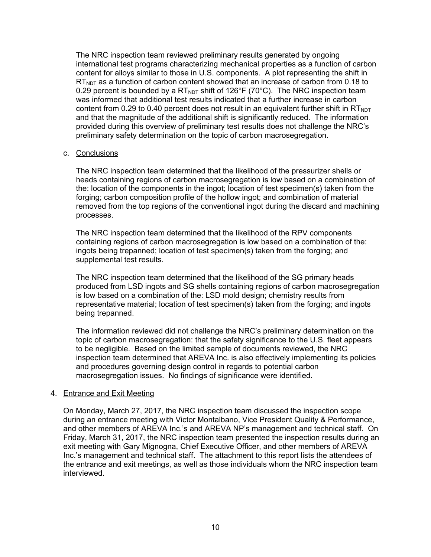The NRC inspection team reviewed preliminary results generated by ongoing international test programs characterizing mechanical properties as a function of carbon content for alloys similar to those in U.S. components. A plot representing the shift in  $RT<sub>NDT</sub>$  as a function of carbon content showed that an increase of carbon from 0.18 to 0.29 percent is bounded by a  $RT_{NOT}$  shift of 126°F (70°C). The NRC inspection team was informed that additional test results indicated that a further increase in carbon content from 0.29 to 0.40 percent does not result in an equivalent further shift in  $RT<sub>NOT</sub>$ and that the magnitude of the additional shift is significantly reduced. The information provided during this overview of preliminary test results does not challenge the NRC's preliminary safety determination on the topic of carbon macrosegregation.

## c. Conclusions

The NRC inspection team determined that the likelihood of the pressurizer shells or heads containing regions of carbon macrosegregation is low based on a combination of the: location of the components in the ingot; location of test specimen(s) taken from the forging; carbon composition profile of the hollow ingot; and combination of material removed from the top regions of the conventional ingot during the discard and machining processes.

The NRC inspection team determined that the likelihood of the RPV components containing regions of carbon macrosegregation is low based on a combination of the: ingots being trepanned; location of test specimen(s) taken from the forging; and supplemental test results.

The NRC inspection team determined that the likelihood of the SG primary heads produced from LSD ingots and SG shells containing regions of carbon macrosegregation is low based on a combination of the: LSD mold design; chemistry results from representative material; location of test specimen(s) taken from the forging; and ingots being trepanned.

The information reviewed did not challenge the NRC's preliminary determination on the topic of carbon macrosegregation: that the safety significance to the U.S. fleet appears to be negligible. Based on the limited sample of documents reviewed, the NRC inspection team determined that AREVA Inc. is also effectively implementing its policies and procedures governing design control in regards to potential carbon macrosegregation issues. No findings of significance were identified.

# 4. Entrance and Exit Meeting

On Monday, March 27, 2017, the NRC inspection team discussed the inspection scope during an entrance meeting with Victor Montalbano, Vice President Quality & Performance, and other members of AREVA Inc.'s and AREVA NP's management and technical staff. On Friday, March 31, 2017, the NRC inspection team presented the inspection results during an exit meeting with Gary Mignogna, Chief Executive Officer, and other members of AREVA Inc.'s management and technical staff. The attachment to this report lists the attendees of the entrance and exit meetings, as well as those individuals whom the NRC inspection team interviewed.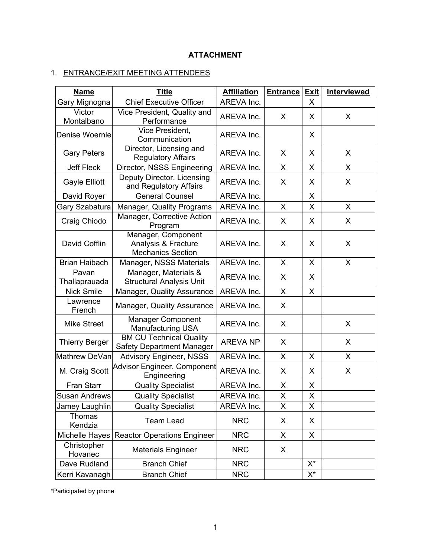# **ATTACHMENT**

# 1. ENTRANCE/EXIT MEETING ATTENDEES

| <b>Name</b>            | <b>Title</b>                                                          |                 | <b>Entrance</b> | <b>Exit</b>             | Interviewed |
|------------------------|-----------------------------------------------------------------------|-----------------|-----------------|-------------------------|-------------|
| Gary Mignogna          | <b>Chief Executive Officer</b>                                        | AREVA Inc.      |                 | X                       |             |
| Victor<br>Montalbano   | Vice President, Quality and<br>Performance                            | AREVA Inc.      | X               | X                       | X           |
| Denise Woernle         | Vice President.<br>Communication                                      | AREVA Inc.      |                 | X                       |             |
| <b>Gary Peters</b>     | Director, Licensing and<br><b>Regulatory Affairs</b>                  | AREVA Inc.      | X               | X                       | X           |
| <b>Jeff Fleck</b>      | Director, NSSS Engineering                                            | AREVA Inc.      | $\mathsf{X}$    | $\overline{\mathsf{X}}$ | X           |
| Gayle Elliott          | Deputy Director, Licensing<br>and Regulatory Affairs                  | AREVA Inc.      | X               | X                       | X           |
| David Royer            | <b>General Counsel</b>                                                | AREVA Inc.      |                 | X                       |             |
| Gary Szabatura         | Manager, Quality Programs                                             | AREVA Inc.      | X               | X                       | X           |
| Craig Chiodo           | Manager, Corrective Action<br>Program                                 | AREVA Inc.      | X               | X                       | X           |
| David Cofflin          | Manager, Component<br>Analysis & Fracture<br><b>Mechanics Section</b> | AREVA Inc.      | X               | X                       | X           |
| <b>Brian Haibach</b>   | Manager, NSSS Materials                                               | AREVA Inc.      | X               | X                       | X           |
| Pavan<br>Thallaprauada | Manager, Materials &<br><b>Structural Analysis Unit</b>               | AREVA Inc.      | X               | X                       |             |
| <b>Nick Smile</b>      | Manager, Quality Assurance                                            | AREVA Inc.      | X               | X                       |             |
| Lawrence<br>French     | Manager, Quality Assurance                                            | AREVA Inc.      | X               |                         |             |
| <b>Mike Street</b>     | <b>Manager Component</b><br><b>Manufacturing USA</b>                  | AREVA Inc.      | X               |                         | X           |
| <b>Thierry Berger</b>  | <b>BM CU Technical Quality</b><br>Safety Department Manager           | <b>AREVA NP</b> | X               |                         | X           |
| Mathrew DeVan          | <b>Advisory Engineer, NSSS</b>                                        | AREVA Inc.      | X               | X                       | X           |
| M. Craig Scott         | Advisor Engineer, Component<br>Engineering                            | AREVA Inc.      | X               | X                       | X           |
| Fran Starr             | <b>Quality Specialist</b>                                             | AREVA Inc.      | X               | X                       |             |
| <b>Susan Andrews</b>   | <b>Quality Specialist</b>                                             | AREVA Inc.      | X               | X                       |             |
| Jamey Laughlin         | <b>Quality Specialist</b>                                             | AREVA Inc.      | X               | X                       |             |
| Thomas<br>Kendzia      | <b>Team Lead</b>                                                      | <b>NRC</b>      | X               | X                       |             |
| Michelle Hayes         | <b>Reactor Operations Engineer</b>                                    | <b>NRC</b>      | X               | X                       |             |
| Christopher<br>Hovanec | <b>Materials Engineer</b>                                             | <b>NRC</b>      | X               |                         |             |
| Dave Rudland           | <b>Branch Chief</b>                                                   | <b>NRC</b>      |                 | X*                      |             |
| Kerri Kavanagh         | <b>Branch Chief</b>                                                   | <b>NRC</b>      |                 | X*                      |             |

\*Participated by phone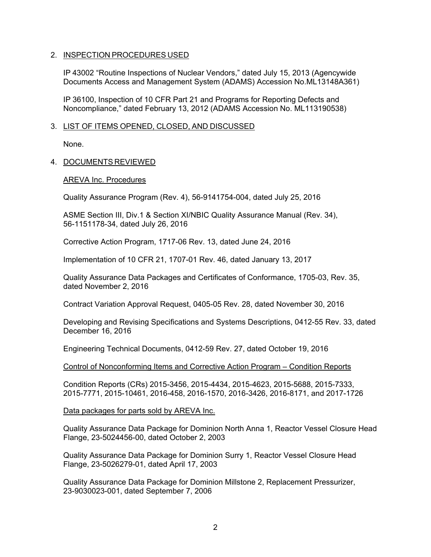## 2. INSPECTION PROCEDURES USED

IP 43002 "Routine Inspections of Nuclear Vendors," dated July 15, 2013 (Agencywide Documents Access and Management System (ADAMS) Accession No.ML13148A361)

IP 36100, Inspection of 10 CFR Part 21 and Programs for Reporting Defects and Noncompliance," dated February 13, 2012 (ADAMS Accession No. ML113190538)

## 3. LIST OF ITEMS OPENED, CLOSED, AND DISCUSSED

None.

## 4. DOCUMENTS REVIEWED

## AREVA Inc. Procedures

Quality Assurance Program (Rev. 4), 56-9141754-004, dated July 25, 2016

ASME Section III, Div.1 & Section XI/NBIC Quality Assurance Manual (Rev. 34), 56-1151178-34, dated July 26, 2016

Corrective Action Program, 1717-06 Rev. 13, dated June 24, 2016

Implementation of 10 CFR 21, 1707-01 Rev. 46, dated January 13, 2017

Quality Assurance Data Packages and Certificates of Conformance, 1705-03, Rev. 35, dated November 2, 2016

Contract Variation Approval Request, 0405-05 Rev. 28, dated November 30, 2016

Developing and Revising Specifications and Systems Descriptions, 0412-55 Rev. 33, dated December 16, 2016

Engineering Technical Documents, 0412-59 Rev. 27, dated October 19, 2016

Control of Nonconforming Items and Corrective Action Program – Condition Reports

Condition Reports (CRs) 2015-3456, 2015-4434, 2015-4623, 2015-5688, 2015-7333, 2015-7771, 2015-10461, 2016-458, 2016-1570, 2016-3426, 2016-8171, and 2017-1726

Data packages for parts sold by AREVA Inc.

Quality Assurance Data Package for Dominion North Anna 1, Reactor Vessel Closure Head Flange, 23-5024456-00, dated October 2, 2003

Quality Assurance Data Package for Dominion Surry 1, Reactor Vessel Closure Head Flange, 23-5026279-01, dated April 17, 2003

Quality Assurance Data Package for Dominion Millstone 2, Replacement Pressurizer, 23-9030023-001, dated September 7, 2006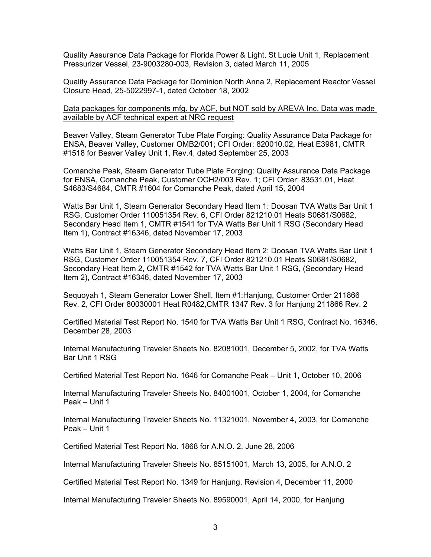Quality Assurance Data Package for Florida Power & Light, St Lucie Unit 1, Replacement Pressurizer Vessel, 23-9003280-003, Revision 3, dated March 11, 2005

Quality Assurance Data Package for Dominion North Anna 2, Replacement Reactor Vessel Closure Head, 25-5022997-1, dated October 18, 2002

Data packages for components mfg. by ACF, but NOT sold by AREVA Inc. Data was made available by ACF technical expert at NRC request

Beaver Valley, Steam Generator Tube Plate Forging: Quality Assurance Data Package for ENSA, Beaver Valley, Customer OMB2/001; CFI Order: 820010.02, Heat E3981, CMTR #1518 for Beaver Valley Unit 1, Rev.4, dated September 25, 2003

Comanche Peak, Steam Generator Tube Plate Forging: Quality Assurance Data Package for ENSA, Comanche Peak, Customer OCH2/003 Rev. 1; CFI Order: 83531.01, Heat S4683/S4684, CMTR #1604 for Comanche Peak, dated April 15, 2004

Watts Bar Unit 1, Steam Generator Secondary Head Item 1: Doosan TVA Watts Bar Unit 1 RSG, Customer Order 110051354 Rev. 6, CFI Order 821210.01 Heats S0681/S0682, Secondary Head Item 1, CMTR #1541 for TVA Watts Bar Unit 1 RSG (Secondary Head Item 1), Contract #16346, dated November 17, 2003

Watts Bar Unit 1, Steam Generator Secondary Head Item 2: Doosan TVA Watts Bar Unit 1 RSG, Customer Order 110051354 Rev. 7, CFI Order 821210.01 Heats S0681/S0682, Secondary Heat Item 2, CMTR #1542 for TVA Watts Bar Unit 1 RSG, (Secondary Head Item 2), Contract #16346, dated November 17, 2003

Sequoyah 1, Steam Generator Lower Shell, Item #1:Hanjung, Customer Order 211866 Rev. 2, CFI Order 80030001 Heat R0482,CMTR 1347 Rev. 3 for Hanjung 211866 Rev. 2

Certified Material Test Report No. 1540 for TVA Watts Bar Unit 1 RSG, Contract No. 16346, December 28, 2003

Internal Manufacturing Traveler Sheets No. 82081001, December 5, 2002, for TVA Watts Bar Unit 1 RSG

Certified Material Test Report No. 1646 for Comanche Peak – Unit 1, October 10, 2006

Internal Manufacturing Traveler Sheets No. 84001001, October 1, 2004, for Comanche Peak – Unit 1

Internal Manufacturing Traveler Sheets No. 11321001, November 4, 2003, for Comanche Peak – Unit 1

Certified Material Test Report No. 1868 for A.N.O. 2, June 28, 2006

Internal Manufacturing Traveler Sheets No. 85151001, March 13, 2005, for A.N.O. 2

Certified Material Test Report No. 1349 for Hanjung, Revision 4, December 11, 2000

Internal Manufacturing Traveler Sheets No. 89590001, April 14, 2000, for Hanjung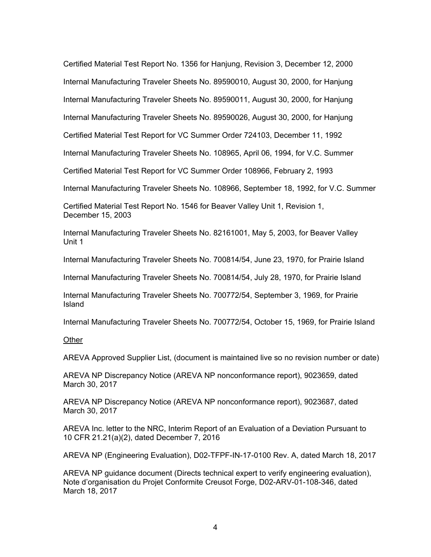Certified Material Test Report No. 1356 for Hanjung, Revision 3, December 12, 2000 Internal Manufacturing Traveler Sheets No. 89590010, August 30, 2000, for Hanjung Internal Manufacturing Traveler Sheets No. 89590011, August 30, 2000, for Hanjung Internal Manufacturing Traveler Sheets No. 89590026, August 30, 2000, for Hanjung Certified Material Test Report for VC Summer Order 724103, December 11, 1992

Internal Manufacturing Traveler Sheets No. 108965, April 06, 1994, for V.C. Summer

Certified Material Test Report for VC Summer Order 108966, February 2, 1993

Internal Manufacturing Traveler Sheets No. 108966, September 18, 1992, for V.C. Summer

Certified Material Test Report No. 1546 for Beaver Valley Unit 1, Revision 1, December 15, 2003

Internal Manufacturing Traveler Sheets No. 82161001, May 5, 2003, for Beaver Valley Unit 1

Internal Manufacturing Traveler Sheets No. 700814/54, June 23, 1970, for Prairie Island

Internal Manufacturing Traveler Sheets No. 700814/54, July 28, 1970, for Prairie Island

Internal Manufacturing Traveler Sheets No. 700772/54, September 3, 1969, for Prairie Island

Internal Manufacturing Traveler Sheets No. 700772/54, October 15, 1969, for Prairie Island

## **Other**

AREVA Approved Supplier List, (document is maintained live so no revision number or date)

AREVA NP Discrepancy Notice (AREVA NP nonconformance report), 9023659, dated March 30, 2017

AREVA NP Discrepancy Notice (AREVA NP nonconformance report), 9023687, dated March 30, 2017

AREVA Inc. letter to the NRC, Interim Report of an Evaluation of a Deviation Pursuant to 10 CFR 21.21(a)(2), dated December 7, 2016

AREVA NP (Engineering Evaluation), D02-TFPF-IN-17-0100 Rev. A, dated March 18, 2017

AREVA NP guidance document (Directs technical expert to verify engineering evaluation), Note d'organisation du Projet Conformite Creusot Forge, D02-ARV-01-108-346, dated March 18, 2017